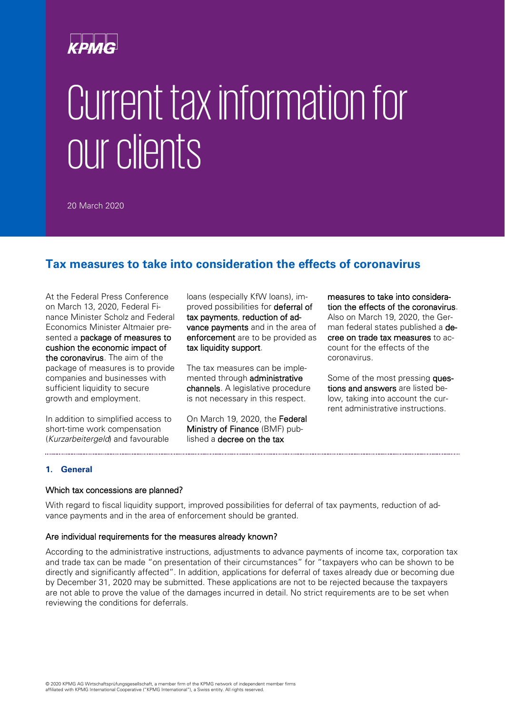# Current tax information for our clients

20 March 2020

## **Tax measures to take into consideration the effects of coronavirus**

At the Federal Press Conference on March 13, 2020, Federal Finance Minister Scholz and Federal Economics Minister Altmaier presented a package of measures to cushion the economic impact of the coronavirus. The aim of the package of measures is to provide companies and businesses with sufficient liquidity to secure growth and employment.

In addition to simplified access to short-time work compensation (*Kurzarbeitergeld*) and favourable

loans (especially KfW loans), improved possibilities for **deferral of** tax payments, reduction of advance payments and in the area of enforcement are to be provided as tax liquidity support.

The tax measures can be implemented through administrative channels. A legislative procedure is not necessary in this respect.

On March 19, 2020, the Federal Ministry of Finance (BMF) published a decree on the tax

measures to take into consideration the effects of the coronavirus. Also on March 19, 2020, the German federal states published a decree on trade tax measures to account for the effects of the coronavirus.

Some of the most pressing **ques**tions and answers are listed below, taking into account the current administrative instructions.

### **1. General**

#### Which tax concessions are planned?

With regard to fiscal liquidity support, improved possibilities for deferral of tax payments, reduction of advance payments and in the area of enforcement should be granted.

#### Are individual requirements for the measures already known?

According to the administrative instructions, adjustments to advance payments of income tax, corporation tax and trade tax can be made "on presentation of their circumstances" for "taxpayers who can be shown to be directly and significantly affected". In addition, applications for deferral of taxes already due or becoming due by December 31, 2020 may be submitted. These applications are not to be rejected because the taxpayers are not able to prove the value of the damages incurred in detail. No strict requirements are to be set when reviewing the conditions for deferrals.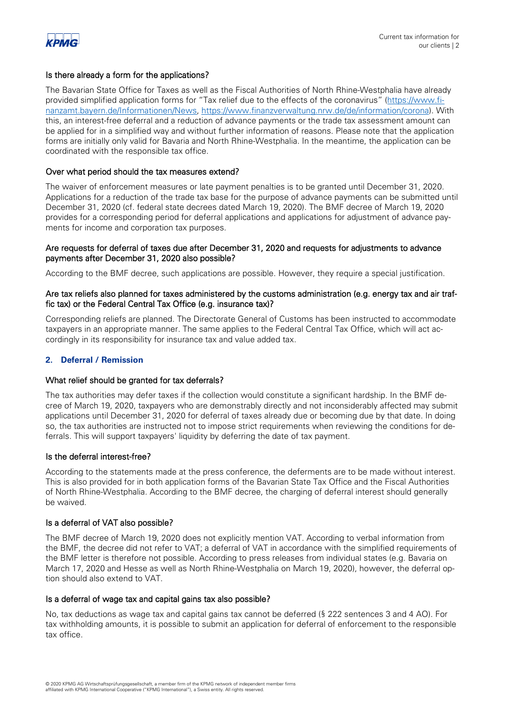

#### Is there already a form for the applications?

The Bavarian State Office for Taxes as well as the Fiscal Authorities of North Rhine-Westphalia have already provided simplified application forms for "Tax relief due to the effects of the coronavirus" [\(https://www.fi](https://www.finanzamt.bayern.de/Informationen/News)[nanzamt.bayern.de/Informationen/News,](https://www.finanzamt.bayern.de/Informationen/News) [https://www.finanzverwaltung.nrw.de/de/information/corona\)](https://www.finanzverwaltung.nrw.de/de/information/corona). With this, an interest-free deferral and a reduction of advance payments or the trade tax assessment amount can be applied for in a simplified way and without further information of reasons. Please note that the application forms are initially only valid for Bavaria and North Rhine-Westphalia. In the meantime, the application can be coordinated with the responsible tax office.

#### Over what period should the tax measures extend?

The waiver of enforcement measures or late payment penalties is to be granted until December 31, 2020. Applications for a reduction of the trade tax base for the purpose of advance payments can be submitted until December 31, 2020 (cf. federal state decrees dated March 19, 2020). The BMF decree of March 19, 2020 provides for a corresponding period for deferral applications and applications for adjustment of advance payments for income and corporation tax purposes.

#### Are requests for deferral of taxes due after December 31, 2020 and requests for adjustments to advance payments after December 31, 2020 also possible?

According to the BMF decree, such applications are possible. However, they require a special justification.

#### Are tax reliefs also planned for taxes administered by the customs administration (e.g. energy tax and air traffic tax) or the Federal Central Tax Office (e.g. insurance tax)?

Corresponding reliefs are planned. The Directorate General of Customs has been instructed to accommodate taxpayers in an appropriate manner. The same applies to the Federal Central Tax Office, which will act accordingly in its responsibility for insurance tax and value added tax.

#### **2. Deferral / Remission**

#### What relief should be granted for tax deferrals?

The tax authorities may defer taxes if the collection would constitute a significant hardship. In the BMF decree of March 19, 2020, taxpayers who are demonstrably directly and not inconsiderably affected may submit applications until December 31, 2020 for deferral of taxes already due or becoming due by that date. In doing so, the tax authorities are instructed not to impose strict requirements when reviewing the conditions for deferrals. This will support taxpayers' liquidity by deferring the date of tax payment.

#### Is the deferral interest-free?

According to the statements made at the press conference, the deferments are to be made without interest. This is also provided for in both application forms of the Bavarian State Tax Office and the Fiscal Authorities of North Rhine-Westphalia. According to the BMF decree, the charging of deferral interest should generally be waived.

#### Is a deferral of VAT also possible?

The BMF decree of March 19, 2020 does not explicitly mention VAT. According to verbal information from the BMF, the decree did not refer to VAT; a deferral of VAT in accordance with the simplified requirements of the BMF letter is therefore not possible. According to press releases from individual states (e.g. Bavaria on March 17, 2020 and Hesse as well as North Rhine-Westphalia on March 19, 2020), however, the deferral option should also extend to VAT.

#### Is a deferral of wage tax and capital gains tax also possible?

No, tax deductions as wage tax and capital gains tax cannot be deferred (§ 222 sentences 3 and 4 AO). For tax withholding amounts, it is possible to submit an application for deferral of enforcement to the responsible tax office.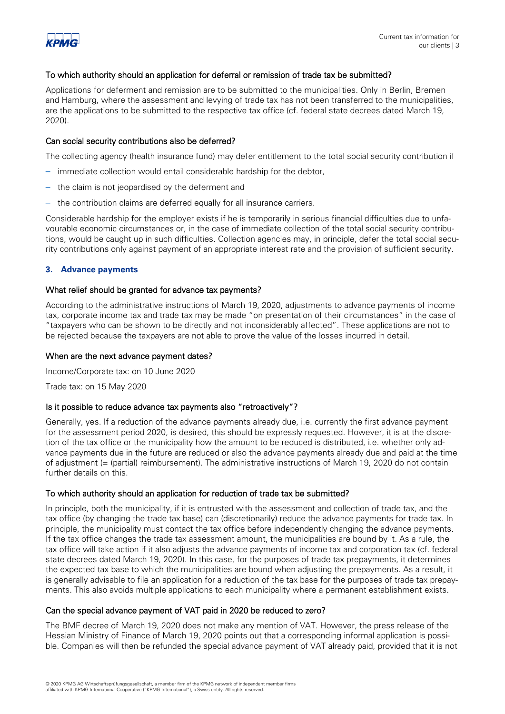

#### To which authority should an application for deferral or remission of trade tax be submitted?

Applications for deferment and remission are to be submitted to the municipalities. Only in Berlin, Bremen and Hamburg, where the assessment and levying of trade tax has not been transferred to the municipalities, are the applications to be submitted to the respective tax office (cf. federal state decrees dated March 19, 2020).

#### Can social security contributions also be deferred?

The collecting agency (health insurance fund) may defer entitlement to the total social security contribution if

- immediate collection would entail considerable hardship for the debtor,
- the claim is not jeopardised by the deferment and
- the contribution claims are deferred equally for all insurance carriers.

Considerable hardship for the employer exists if he is temporarily in serious financial difficulties due to unfavourable economic circumstances or, in the case of immediate collection of the total social security contributions, would be caught up in such difficulties. Collection agencies may, in principle, defer the total social security contributions only against payment of an appropriate interest rate and the provision of sufficient security.

#### **3. Advance payments**

#### What relief should be granted for advance tax payments?

According to the administrative instructions of March 19, 2020, adjustments to advance payments of income tax, corporate income tax and trade tax may be made "on presentation of their circumstances" in the case of "taxpayers who can be shown to be directly and not inconsiderably affected". These applications are not to be rejected because the taxpayers are not able to prove the value of the losses incurred in detail.

#### When are the next advance payment dates?

Income/Corporate tax: on 10 June 2020

Trade tax: on 15 May 2020

#### Is it possible to reduce advance tax payments also "retroactively"?

Generally, yes. If a reduction of the advance payments already due, i.e. currently the first advance payment for the assessment period 2020, is desired, this should be expressly requested. However, it is at the discretion of the tax office or the municipality how the amount to be reduced is distributed, i.e. whether only advance payments due in the future are reduced or also the advance payments already due and paid at the time of adjustment (= (partial) reimbursement). The administrative instructions of March 19, 2020 do not contain further details on this.

#### To which authority should an application for reduction of trade tax be submitted?

In principle, both the municipality, if it is entrusted with the assessment and collection of trade tax, and the tax office (by changing the trade tax base) can (discretionarily) reduce the advance payments for trade tax. In principle, the municipality must contact the tax office before independently changing the advance payments. If the tax office changes the trade tax assessment amount, the municipalities are bound by it. As a rule, the tax office will take action if it also adjusts the advance payments of income tax and corporation tax (cf. federal state decrees dated March 19, 2020). In this case, for the purposes of trade tax prepayments, it determines the expected tax base to which the municipalities are bound when adjusting the prepayments. As a result, it is generally advisable to file an application for a reduction of the tax base for the purposes of trade tax prepayments. This also avoids multiple applications to each municipality where a permanent establishment exists.

#### Can the special advance payment of VAT paid in 2020 be reduced to zero?

The BMF decree of March 19, 2020 does not make any mention of VAT. However, the press release of the Hessian Ministry of Finance of March 19, 2020 points out that a corresponding informal application is possible. Companies will then be refunded the special advance payment of VAT already paid, provided that it is not